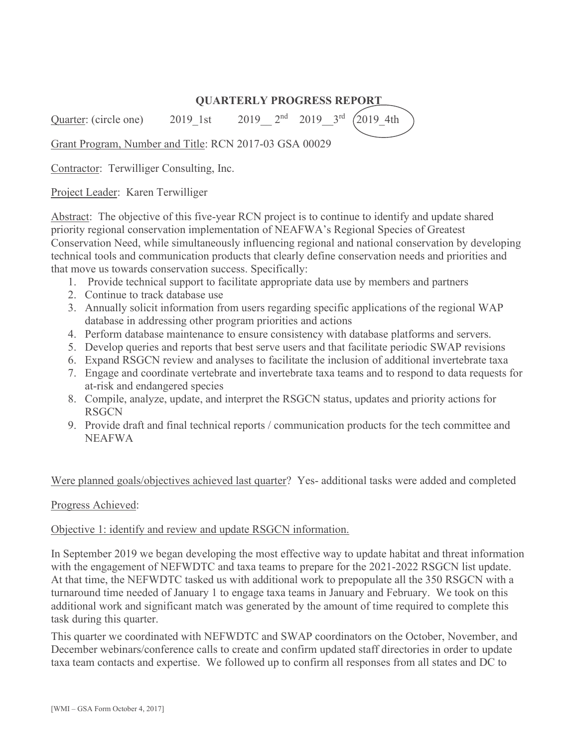# **QUARTERLY PROGRESS REPORT**

Quarter: (circle one) 2019 1st 2019  $2^{nd}$  2019  $3^{rd}$   $(2019-4th)$ 

Grant Program, Number and Title: RCN 2017-03 GSA 00029

Contractor: Terwilliger Consulting, Inc.

Project Leader: Karen Terwilliger

Abstract: The objective of this five-year RCN project is to continue to identify and update shared priority regional conservation implementation of NEAFWA's Regional Species of Greatest Conservation Need, while simultaneously influencing regional and national conservation by developing technical tools and communication products that clearly define conservation needs and priorities and that move us towards conservation success. Specifically:

- 1. Provide technical support to facilitate appropriate data use by members and partners
- 2. Continue to track database use
- 3. Annually solicit information from users regarding specific applications of the regional WAP database in addressing other program priorities and actions
- 4. Perform database maintenance to ensure consistency with database platforms and servers.
- 5. Develop queries and reports that best serve users and that facilitate periodic SWAP revisions
- 6. Expand RSGCN review and analyses to facilitate the inclusion of additional invertebrate taxa
- 7. Engage and coordinate vertebrate and invertebrate taxa teams and to respond to data requests for at-risk and endangered species
- 8. Compile, analyze, update, and interpret the RSGCN status, updates and priority actions for **RSGCN**
- 9. Provide draft and final technical reports / communication products for the tech committee and NEAFWA

## Were planned goals/objectives achieved last quarter? Yes- additional tasks were added and completed

## Progress Achieved:

## Objective 1: identify and review and update RSGCN information.

In September 2019 we began developing the most effective way to update habitat and threat information with the engagement of NEFWDTC and taxa teams to prepare for the 2021-2022 RSGCN list update. At that time, the NEFWDTC tasked us with additional work to prepopulate all the 350 RSGCN with a turnaround time needed of January 1 to engage taxa teams in January and February. We took on this additional work and significant match was generated by the amount of time required to complete this task during this quarter.

This quarter we coordinated with NEFWDTC and SWAP coordinators on the October, November, and December webinars/conference calls to create and confirm updated staff directories in order to update taxa team contacts and expertise. We followed up to confirm all responses from all states and DC to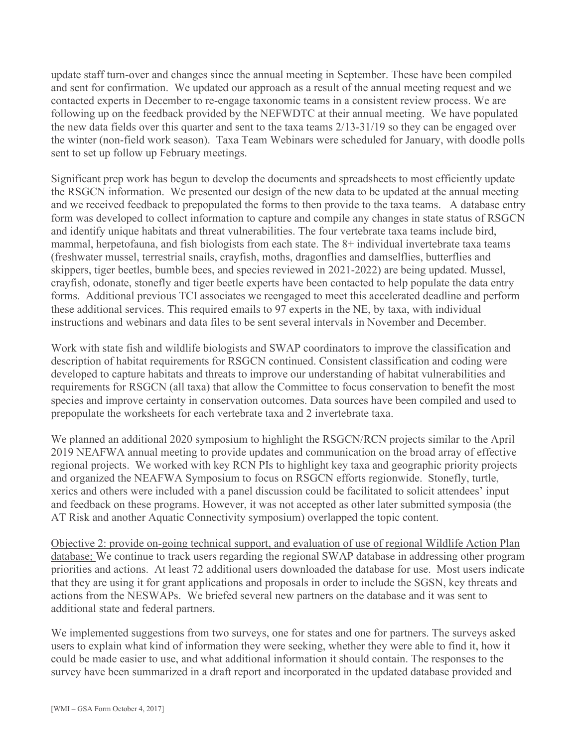update staff turn-over and changes since the annual meeting in September. These have been compiled and sent for confirmation. We updated our approach as a result of the annual meeting request and we contacted experts in December to re-engage taxonomic teams in a consistent review process. We are following up on the feedback provided by the NEFWDTC at their annual meeting. We have populated the new data fields over this quarter and sent to the taxa teams 2/13-31/19 so they can be engaged over the winter (non-field work season). Taxa Team Webinars were scheduled for January, with doodle polls sent to set up follow up February meetings.

Significant prep work has begun to develop the documents and spreadsheets to most efficiently update the RSGCN information. We presented our design of the new data to be updated at the annual meeting and we received feedback to prepopulated the forms to then provide to the taxa teams. A database entry form was developed to collect information to capture and compile any changes in state status of RSGCN and identify unique habitats and threat vulnerabilities. The four vertebrate taxa teams include bird, mammal, herpetofauna, and fish biologists from each state. The 8+ individual invertebrate taxa teams (freshwater mussel, terrestrial snails, crayfish, moths, dragonflies and damselflies, butterflies and skippers, tiger beetles, bumble bees, and species reviewed in 2021-2022) are being updated. Mussel, crayfish, odonate, stonefly and tiger beetle experts have been contacted to help populate the data entry forms. Additional previous TCI associates we reengaged to meet this accelerated deadline and perform these additional services. This required emails to 97 experts in the NE, by taxa, with individual instructions and webinars and data files to be sent several intervals in November and December.

Work with state fish and wildlife biologists and SWAP coordinators to improve the classification and description of habitat requirements for RSGCN continued. Consistent classification and coding were developed to capture habitats and threats to improve our understanding of habitat vulnerabilities and requirements for RSGCN (all taxa) that allow the Committee to focus conservation to benefit the most species and improve certainty in conservation outcomes. Data sources have been compiled and used to prepopulate the worksheets for each vertebrate taxa and 2 invertebrate taxa.

We planned an additional 2020 symposium to highlight the RSGCN/RCN projects similar to the April 2019 NEAFWA annual meeting to provide updates and communication on the broad array of effective regional projects. We worked with key RCN PIs to highlight key taxa and geographic priority projects and organized the NEAFWA Symposium to focus on RSGCN efforts regionwide. Stonefly, turtle, xerics and others were included with a panel discussion could be facilitated to solicit attendees' input and feedback on these programs. However, it was not accepted as other later submitted symposia (the AT Risk and another Aquatic Connectivity symposium) overlapped the topic content.

Objective 2: provide on-going technical support, and evaluation of use of regional Wildlife Action Plan database; We continue to track users regarding the regional SWAP database in addressing other program priorities and actions. At least 72 additional users downloaded the database for use. Most users indicate that they are using it for grant applications and proposals in order to include the SGSN, key threats and actions from the NESWAPs. We briefed several new partners on the database and it was sent to additional state and federal partners.

We implemented suggestions from two surveys, one for states and one for partners. The surveys asked users to explain what kind of information they were seeking, whether they were able to find it, how it could be made easier to use, and what additional information it should contain. The responses to the survey have been summarized in a draft report and incorporated in the updated database provided and